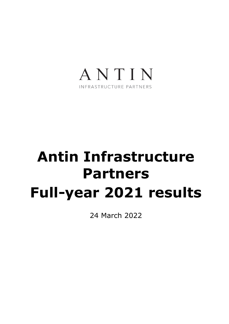

## **Antin Infrastructure Partners Full-year 2021 results**

24 March 2022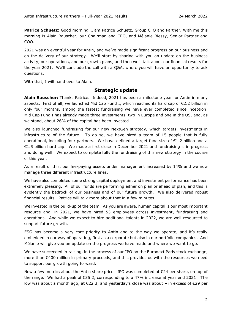**Patrice Schuetz:** Good morning. I am Patrice Schuetz, Group CFO and Partner. With me this morning is Alain Rauscher, our Chairman and CEO, and Mélanie Biessy, Senior Partner and COO.

2021 was an eventful year for Antin, and we've made significant progress on our business and on the delivery of our strategy. We'll start by sharing with you an update on the business activity, our operations, and our growth plans, and then we'll talk about our financial results for the year 2021. We'll conclude the call with a Q&A, where you will have an opportunity to ask questions.

With that, I will hand over to Alain.

## **Strategic update**

**Alain Rauscher:** Thanks Patrice. Indeed, 2021 has been a milestone year for Antin in many aspects. First of all, we launched Mid Cap Fund I, which reached its hard cap of €2.2 billion in only four months, among the fastest fundraising we have ever completed since inception. Mid Cap Fund I has already made three investments, two in Europe and one in the US, and, as we stand, about 26% of the capital has been invested.

We also launched fundraising for our new NextGen strategy, which targets investments in infrastructure of the future. To do so, we have hired a team of 15 people that is fully operational, including four partners. We have defined a target fund size of €1.2 billion and a €1.5 billion hard cap. We made a first close in December 2021 and fundraising is in progress and doing well. We expect to complete fully the fundraising of this new strategy in the course of this year.

As a result of this, our fee-paying assets under management increased by 14% and we now manage three different infrastructure lines.

We have also completed some strong capital deployment and investment performance has been extremely pleasing. All of our funds are performing either on plan or ahead of plan, and this is evidently the bedrock of our business and of our future growth. We also delivered robust financial results. Patrice will talk more about that in a few minutes.

We invested in the build-up of the team. As you are aware, human capital is our most important resource and, in 2021, we have hired 53 employees across investment, fundraising and operations. And while we expect to hire additional talents in 2022, we are well-resourced to support future growth.

ESG has become a very core priority to Antin and to the way we operate, and it's really embedded in our way of operating, first as a corporate but also in our portfolio companies. And Mélanie will give you an update on the progress we have made and where we want to go.

We have succeeded in raising, in the process of our IPO on the Euronext Paris stock exchange, more than €400 million in primary proceeds, and this provides us with the resources we need to support our growth going forward.

Now a few metrics about the Antin share price. IPO was completed at €24 per share, on top of the range. We had a peak of  $\epsilon$ 35.2, corresponding to a 47% increase at year end 2021. The low was about a month ago, at €22.3, and yesterday's close was about – in excess of €29 per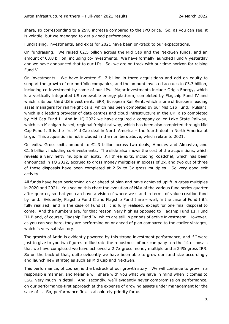share, so corresponding to a 25% increase compared to the IPO price. So, as you can see, it is volatile, but we managed to get a good performance.

Fundraising, investments, and exits for 2021 have been on-track to our expectations.

On fundraising. We raised €2.5 billion across the Mid Cap and the NextGen funds, and an amount of €3.8 billion, including co-investments. We have formally launched Fund V yesterday and we have announced that to our LPs. So, we are on track with our time horizon for raising Fund V.

On investments. We have invested  $\epsilon$ 1.7 billion in three acquisitions and add-on equity to support the growth of our portfolio companies, and the amount invested accrues to €3.3 billion, including co-investment by some of our LPs. Major investments include Origis Energy, which is a vertically integrated US renewable energy platform, completed by Flagship Fund IV and which is its our third US investment. ERR, European Rail Rent, which is one of Europe's leading asset managers for rail freight cars, which has been completed by our Mid Cap Fund. Pulsant, which is a leading provider of data centres and cloud infrastructure in the UK, also completed by Mid Cap Fund I. And in 1Q 2022 we have acquired a company called Lake State Railway, which is a Michigan-based, regional freight railway, which has been also completed through Mid Cap Fund I. It is the first Mid Cap deal in North America – the fourth deal in North America at large. This acquisition is not included in the numbers above, which relate to 2021.

On exits. Gross exits amount to  $\epsilon$ 1.3 billion across two deals, Amedes and Almaviva, and €1.6 billion, including co-investments. The slide also shows the cost of the acquisitions, which reveals a very hefty multiple on exits. All three exits, including Roadchef, which has been announced in 1Q 2022, accrued to gross money multiples in excess of 2x, and two out of three of these disposals have been completed at 2.5x to 3x gross multiples. So very good exit activity.

All funds have been performing on or ahead of plan and have achieved uplift in gross multiples in 2020 and 2021. You see on this chart the evolution of NAV of the various fund series quarter after quarter, so that you can have a vision of where we stand in terms of value creation fund by fund. Evidently, Flagship Fund II and Flagship Fund I are – well, in the case of Fund I it's fully realised; and in the case of Fund II, it is fully realised, except for one final disposal to come. And the numbers are, for that reason, very high as opposed to Flagship Fund III, Fund III-B and, of course, Flagship Fund IV, which are still in periods of active investment. However, as you can see here, they are performing on or ahead of plan compared to the earlier vintages, which is very satisfactory.

The growth of Antin is evidently powered by this strong investment performance, and if I were just to give to you two figures to illustrate the robustness of our company: on the 14 disposals that we have completed we have achieved a 2.7x gross money multiple and a 24% gross IRR. So on the back of that, quite evidently we have been able to grow our fund size accordingly and launch new strategies such as Mid Cap and NextGen.

This performance, of course, is the bedrock of our growth story. We will continue to grow in a responsible manner, and Mélanie will share with you what we have in mind when it comes to ESG, very much in detail. And, secondly, we'll evidently never compromise on performance, on our performance-first approach at the expense of growing assets under management for the sake of it. So, performance first is absolutely priority for us.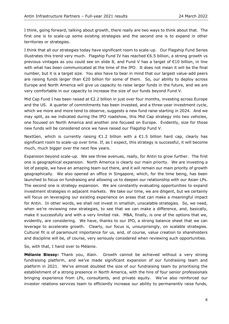I think, going forward, talking about growth, there really are two ways to think about that. The first one is to scale-up some existing strategies and the second one is to expand in other territories or strategies.

I think that all our strategies today have significant room to scale-up. Our Flagship Fund Series illustrates this trend very much. Flagship Fund IV has reached €6.5 billion, a strong growth vs previous vintages as you could see on slide 8, and Fund V has a target of €10 billion, in line with what has been communicated at the time of the IPO. It does not mean it will be the final number, but it is a target size. You also have to bear in mind that our largest value-add peers are raising funds larger than €20 billion for some of them. So, our ability to deploy across Europe and North America will give us capacity to raise larger funds in the future, and we are very comfortable in our capacity to increase the size of our funds beyond Fund V.

Mid Cap Fund I has been raised at €2.2 billion in just over four months, investing across Europe and the US. A quarter of commitments has been invested, and a three-year investment cycle, which we more and more tend to observe, suggests a new fund raise starting in 2024. And we may split, as we indicated during the IPO roadshow, this Mid Cap strategy into two vehicles, one focused on North America and another one focused on Europe. Evidently, size for those new funds will be considered once we have raised our Flagship Fund V.

NextGen, which is currently raising  $\epsilon$ 1.2 billion with a  $\epsilon$ 1.5 billion hard cap, clearly has significant room to scale-up over time. If, as I expect, this strategy is successful, it will become much, much bigger over the next few years.

Expansion beyond scale-up. We see three avenues, really, for Antin to grow further. The first one is geographical expansion. North America is clearly our main priority. We are investing a lot of people, we have an amazing team out there, and it will remain our main priority of growth geographically. We also opened an office in Singapore, which, for the time being, has been launched to focus on fundraising and allowing us to deepen our relationship with our Asian LPs. The second one is strategy expansion. We are constantly evaluating opportunities to expand investment strategies in adjacent markets. We take our time, we are diligent, but we certainly will focus on leveraging our existing experience on areas that can make a meaningful impact for Antin. In other words, we shall not invest in smallish, unscalable strategies. So, we need, when we're reviewing new strategies, to see that we can make a difference, and, basically, make it successfully and with a very limited risk. M&A, finally, is one of the options that we, evidently, are considering. We have, thanks to our IPO, a strong balance sheet that we can leverage to accelerate growth. Clearly, our focus is, unsurprisingly, on scalable strategies. Cultural fit is of paramount importance for us, and, of course, value creation to shareholders and discipline will be, of course, very seriously considered when reviewing such opportunities.

So, with that, I hand over to Mélanie.

**Mélanie Biessy:** Thank you, Alain. Growth cannot be achieved without a very strong fundraising platform, and we've made significant expansion of our fundraising team and platform in 2021. We've almost doubled the size of our fundraising team by prioritising the establishment of a strong presence in North America, with the hire of four senior professionals bringing experience from LPs, consultants, and private equity. We've also reinforced our investor relations services team to efficiently increase our ability to permanently raise funds,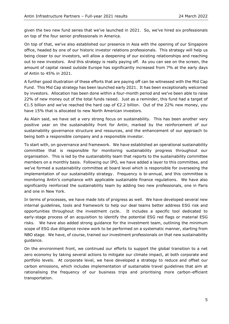given the two new fund series that we've launched in 2021. So, we've hired six professionals on top of the four senior professionals in America.

On top of that, we've also established our presence in Asia with the opening of our Singapore office, headed by one of our historic investor relations professionals. This strategy will help us being closer to our investors, will allow a deepening of our existing relationships and reaching out to new investors. And this strategy is really paying off. As you can see on the screen, the amount of capital raised outside Europe has significantly increased from 7% at the early days of Antin to 45% in 2021.

A further good illustration of these efforts that are paying off can be witnessed with the Mid Cap Fund. This Mid Cap strategy has been launched early 2021. It has been exceptionally welcomed by investors. Allocation has been done within a four-month period and we've been able to raise 22% of new money out of the total funds raised. Just as a reminder, this fund had a target of €1.5 billion and we've reached the hard cap of €2.2 billion. Out of the 22% new money, you have 15% that is allocated to new North American investors.

As Alain said, we have set a very strong focus on sustainability. This has been another very positive year on the sustainability front for Antin, marked by the reinforcement of our sustainability governance structure and resources, and the enhancement of our approach to being both a responsible company and a responsible investor.

To start with, on governance and framework. We have established an operational sustainability committee that is responsible for monitoring sustainability progress throughout our organisation. This is led by the sustainability team that reports to the sustainability committee members on a monthly basis. Following our IPO, we have added a layer to this committee, and we've formed a sustainability committee at board level which is responsible for overseeing the implementation of our sustainability strategy. Frequency is bi-annual, and this committee is monitoring Antin's compliance with applicable sustainable finance regulations. We have also significantly reinforced the sustainability team by adding two new professionals, one in Paris and one in New York.

In terms of processes, we have made lots of progress as well. We have developed several new internal guidelines, tools and framework to help our deal teams better address ESG risk and opportunities throughout the investment cycle. It includes a specific tool dedicated to early-stage process of an acquisition to identify the potential ESG red flags or material ESG risks. We have also added strong guidance for the investment team, outlining the minimum scope of ESG due diligence review work to be performed on a systematic manner, starting from NBO stage. We have, of course, trained our investment professionals on that new sustainability guidance.

On the environment front, we continued our efforts to support the global transition to a net zero economy by taking several actions to mitigate our climate impact, at both corporate and portfolio levels. At corporate level, we have developed a strategy to reduce and offset our carbon emissions, which includes implementation of sustainable travel guidelines that aim at rationalising the frequency of our business trips and prioritising more carbon-efficient transportation.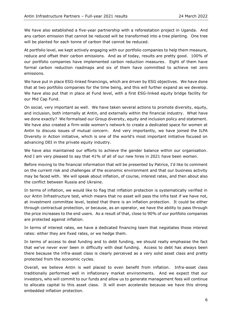We have also established a five-year partnership with a reforestation project in Uganda. And any carbon emission that cannot be reduced will be transformed into a tree planting. One tree will be planted for each tonne of carbon that cannot be reduced.

At portfolio level, we kept actively engaging with our portfolio companies to help them measure, reduce and offset their carbon emissions. And as of today, results are pretty good. 100% of our portfolio companies have implemented carbon reduction measures. Eight of them have formal carbon reduction roadmaps and six of them have committed to achieve net zero emissions.

We have put in place ESG-linked financings, which are driven by ESG objectives. We have done that at two portfolio companies for the time being, and this will further expand as we develop. We have also put that in place at Fund level, with a first ESG-linked equity bridge facility for our Mid Cap Fund.

On social, very important as well. We have taken several actions to promote diversity, equity, and inclusion, both internally at Antin, and externally within the financial industry. What have we done exactly? We formalised our Group diversity, equity and inclusion policy and statement. We have also created a firm-wide women's network to create a dedicated space for women at Antin to discuss issues of mutual concern. And very importantly, we have joined the ILPA Diversity in Action initiative, which is one of the world's most important initiative focused on advancing DEI in the private equity industry.

We have also maintained our efforts to achieve the gender balance within our organisation. And I am very pleased to say that 41% of all of our new hires in 2021 have been women.

Before moving to the financial information that will be presented by Patrice, I'd like to comment on the current risk and challenges of the economic environment and that our business activity may be faced with. We will speak about inflation, of course, interest rates, and then about also the conflict between Russia and Ukraine.

In terms of inflation, we would like to flag that inflation protection is systematically verified in our Antin Infrastructure test, which means that no asset will pass the infra test if we have not, at investment committee level, tested that there is an inflation protection. It could be either through contractual protection, or because, as an operator, we have the ability to pass through the price increases to the end users. As a result of that, close to 90% of our portfolio companies are protected against inflation.

In terms of interest rates, we have a dedicated financing team that negotiates those interest rates: either they are fixed rates, or we hedge them.

In terms of access to deal funding and to debt funding, we should really emphasise the fact that we've never ever been in difficulty with deal funding. Access to debt has always been there because the infra-asset class is clearly perceived as a very solid asset class and pretty protected from the economic cycles.

Overall, we believe Antin is well placed to even benefit from inflation. Infra-asset class traditionally performed well in inflationary market environments. And we expect that our investors, who will commit to our funds and allow us to generate management fees will continue to allocate capital to this asset class. It will even accelerate because we have this strong embedded inflation protection.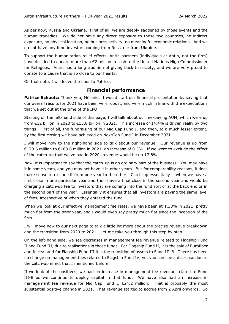As per now, Russia and Ukraine. First of all, we are deeply saddened by those events and the human tragedies. We do not have any direct exposure to those two countries, no indirect exposure, no physical location, no business activity, no meaningful economic relations. And we do not have any fund investors coming from Russia or from Ukraine.

To support the humanitarian relief efforts, Antin partners (individuals at Antin, not the firm) have decided to donate more than €2 million in cash to the United Nations High Commissioner for Refugees. Antin has a long tradition of giving back to society, and we are very proud to donate to a cause that is so close to our hearts.

On that note, I will leave the floor to Patrice.

## **Financial performance**

**Patrice Schuetz:** Thank you, Mélanie. I would start our financial presentation by saying that our overall results for 2021 have been very robust, and very much in line with the expectations that we set out at the time of the IPO.

Starting on the left-hand side of this page, I will talk about our fee-paying AUM, which were up from €12 billion in 2020 to €13.8 billion in 2021. This increase of 14.4% is driven really by two things. First of all, the fundraising of our Mid Cap Fund I, and then, to a much lesser extent, by the first closing we have achieved on NextGen Fund I in December 2021.

I will move now to the right-hand side to talk about our revenue. Our revenue is up from €179.6 million to €180.6 million in 2021, an increase of 0.5%. If we were to exclude the effect of the catch-up that we've had in 2020, revenue would be up 17.8%.

Now, it is important to say that the catch-up is an ordinary part of the business. You may have it in some years, and you may not have it in other years. But for comparability reasons, it does make sense to exclude it from one year to the other. Catch-up essentially is when we have a first close in one particular year and then have a final close in the second year and would be charging a catch-up fee to investors that are coming into the fund sort of at the back end or in the second part of the year. Essentially it ensures that all investors are paying the same level of fees, irrespective of when they entered the fund.

When we look at our effective management fee rates, we have been at 1.38% in 2021, pretty much flat from the prior year, and I would even say pretty much flat since the inception of the firm.

I will move now to our next page to talk a little bit more about the precise revenue breakdown and the transition from 2020 to 2021. Let me take you through this step by step.

On the left-hand side, we see decreases in management fee revenue related to Flagship Fund II and Fund III, due to realisations in those funds. For Flagship Fund II, it is the sale of Eurofiber and Inicea, and for Flagship Fund III it is the transition of assets to Fund III-B. There has been no change on management fees related to Flagship Fund IV, yet you can see a decrease due to the catch-up effect that I mentioned before.

If we look at the positives, we had an increase in management fee revenue related to Fund III-B as we continue to deploy capital in that fund. We have also had an increase in management fee revenue for Mid Cap Fund I, €24.2 million. That is probably the most substantial positive change in 2021. That revenue started to accrue from 2 April onwards. So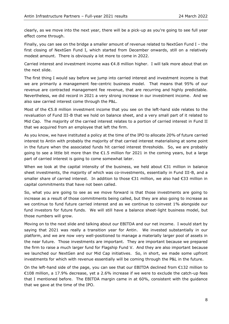clearly, as we move into the next year, there will be a pick-up as you're going to see full year effect come through.

Finally, you can see on the bridge a smaller amount of revenue related to NextGen Fund I – the first closing of NextGen Fund I, which started from December onwards, still on a relatively modest amount. There is obviously a lot more to come in 2022.

Carried interest and investment income was  $\epsilon$ 4.8 million higher. I will talk more about that on the next slide.

The first thing I would say before we jump into carried interest and investment income is that we are primarily a management fee-centric business model. That means that 95% of our revenue are contracted management fee revenue, that are recurring and highly predictable. Nevertheless, we did record in 2021 a very strong increase in our investment income. And we also saw carried interest come through the P&L.

Most of the €5.8 million investment income that you see on the left-hand side relates to the revaluation of Fund III-B that we hold on balance sheet, and a very small part of it related to Mid Cap. The majority of the carried interest relates to a portion of carried interest in Fund II that we acquired from an employee that left the firm.

As you know, we have instituted a policy at the time of the IPO to allocate 20% of future carried interest to Antin with probably the majority of that carried interest materialising at some point in the future when the associated funds hit carried interest thresholds. So, we are probably going to see a little bit more than the €1.5 million for 2021 in the coming years, but a large part of carried interest is going to come somewhat later.

When we look at the capital intensity of the business, we held about  $\epsilon$ 31 million in balance sheet investments, the majority of which was co-investments, essentially in Fund III-B, and a smaller share of carried interest. In addition to those €31 million, we also had €33 million in capital commitments that have not been called.

So, what you are going to see as we move forward is that those investments are going to increase as a result of those commitments being called, but they are also going to increase as we continue to fund future carried interest and as we continue to coinvest 1% alongside our fund investors for future funds. We will still have a balance sheet-light business model, but those numbers will grow.

Moving on to the next slide and talking about our EBITDA and our net income. I would start by saying that 2021 was really a transition year for Antin. We invested substantially in our platform, and we are now very well-positioned to manage a materially larger pool of assets in the near future. Those investments are important. They are important because we prepared the firm to raise a much larger fund for Flagship Fund V. And they are also important because we launched our NextGen and our Mid Cap initiatives. So, in short, we made some upfront investments for which with revenue essentially will be coming through the P&L in the future.

On the left-hand side of the page, you can see that our EBITDA declined from €132 million to €108 million, a 17.9% decrease, yet a 2.6% increase if we were to exclude the catch-up fees that I mentioned before. The EBITDA margin came in at 60%, consistent with the guidance that we gave at the time of the IPO.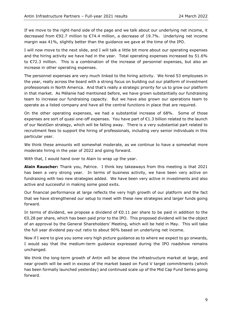If we move to the right-hand side of the page and we talk about our underlying net income, it decreased from €92.7 million to €74.4 million, a decrease of 19.7%. Underlying net income margin was 41%, slightly better than the guidance we gave at the time of the IPO.

I will now move to the next slide, and I will talk a little bit more about our operating expenses and the hiring activity we have had in the year. Total operating expenses increased by 51.6% to €72.3 million. This is a combination of the increase of personnel expenses, but also an increase in other operating expenses.

The personnel expenses are very much linked to the hiring activity. We hired 53 employees in the year, really across the board with a strong focus on building out our platform of investment professionals in North America. And that's really a strategic priority for us to grow our platform in that market. As Mélanie had mentioned before, we have grown substantially our fundraising team to increase our fundraising capacity. But we have also grown our operations team to operate as a listed company and have all the central functions in place that are required.

On the other operating expenses, we had a substantial increase of 68%. Some of those expenses are sort of quasi one-off expenses. You have part of €1.3 billion related to the launch of our NextGen strategy, which will be falling away. There is a very substantial part related to recruitment fees to support the hiring of professionals, including very senior individuals in this particular year.

We think these amounts will somewhat moderate, as we continue to have a somewhat more moderate hiring in the year of 2022 and going forward.

With that, I would hand over to Alain to wrap up the year.

**Alain Rauscher:** Thank you, Patrice. I think key takeaways from this meeting is that 2021 has been a very strong year. In terms of business activity, we have been very active on fundraising with two new strategies added. We have been very active in investments and also active and successful in making some good exits.

Our financial performance at large reflects the very high growth of our platform and the fact that we have strengthened our setup to meet with these new strategies and larger funds going forward.

In terms of dividend, we propose a dividend of  $\epsilon$ 0.11 per share to be paid in addition to the €0.28 per share, which has been paid prior to the IPO. This proposed dividend will be the object of an approval by the General Shareholders' Meeting, which will be held in May. This will take the full year dividend pay-out ratio to about 90% based on underlying net income.

Now if I were to give you some very high picture guidance as to where we expect to go onwards, I would say that the medium-term guidance expressed during the IPO roadshow remains unchanged.

We think the long-term growth of Antin will be above the infrastructure market at large, and near growth will be well in excess of the market based on Fund V target commitments (which has been formally launched yesterday) and continued scale up of the Mid Cap Fund Series going forward.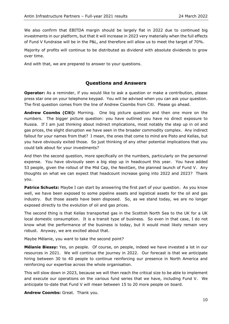We also confirm that EBITDA margin should be largely flat in 2022 due to continued big investments in our platform, but that it will increase in 2023 very materially when the full effects of Fund V fundraise will be in the P&L, and therefore will allow us to meet the target of 70%.

Majority of profits will continue to be distributed as dividend with absolute dividends to grow over time.

And with that, we are prepared to answer to your questions.

## **Questions and Answers**

**Operator:** As a reminder, if you would like to ask a question or make a contribution, please press star one on your telephone keypad. You will be advised when you can ask your question. The first question comes from the line of Andrew Coombs from Citi. Please go ahead.

**Andrew Coombs (Citi):** Morning. One big picture question and then one more on the numbers. The bigger picture question: you have outlined you have no direct exposure to Russia. If I am just thinking about indirect implications, most notably the step up in oil and gas prices, the slight disruption we have seen in the broader commodity complex. Any indirect fallout for your names from that? I mean, the ones that come to mind are Pisto and Kellas, but you have obviously exited those. So just thinking of any other potential implications that you could talk about for your investments?

And then the second question, more specifically on the numbers, particularly on the personnel expense. You have obviously seen a big step up in headcount this year. You have added 53 people, given the rollout of the Mid Cap, the NextGen, the planned launch of Fund V. Any thoughts on what we can expect that headcount increase going into 2022 and 2023? Thank you.

**Patrice Schuetz:** Maybe I can start by answering the first part of your question. As you know well, we have been exposed to some pipeline assets and logistical assets for the oil and gas industry. But those assets have been disposed. So, as we stand today, we are no longer exposed directly to the evolution of oil and gas prices.

The second thing is that Kellas transported gas in the Scottish North Sea to the UK for a UK local domestic consumption. It is a transit type of business. So even in that case, I do not know what the performance of the business is today, but it would most likely remain very robust. Anyway, we are excited about that.

Maybe Mélanie, you want to take the second point?

**Mélanie Biessy:** Yes, on people. Of course, on people, indeed we have invested a lot in our resources in 2021. We will continue the journey in 2022. Our forecast is that we anticipate hiring between 30 to 40 people to continue reinforcing our presence in North America and reinforcing our expertise across the whole organisation.

This will slow down in 2023, because we will then reach the critical size to be able to implement and execute our operations on the various fund series that we have, including Fund V. We anticipate to-date that Fund V will mean between 15 to 20 more people on board.

**Andrew Coombs:** Great. Thank you.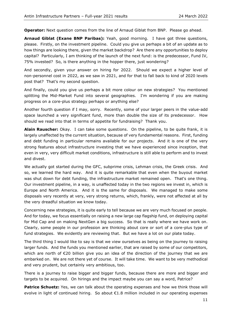**Operator:** Next question comes from the line of Arnaud Giblat from BNP. Please go ahead.

**Arnaud Giblat (Exane BNP Paribas):** Yeah, good morning. I have got three questions, please. Firstly, on the investment pipeline. Could you give us perhaps a bit of an update as to how things are looking there, given the market backdrop? Are there any opportunities to deploy capital? Particularly, I am thinking of the launch of the next fund: is the predecessor, Fund IV, 75% invested? So, is there anything in the hopper there, just wondering?

And secondly, given your answer on hiring for 2022. Should we expect a higher level of non-personnel cost in 2022, as we saw in 2021, and for that to fall back to kind of 2020 levels post that? That's my second question.

And finally, could you give us perhaps a bit more colour on new strategies? You mentioned splitting the Mid-Market Fund into several geographies. I'm wondering if you are making progress on a core-plus strategy perhaps or anything else?

Another fourth question if I may, sorry. Recently, some of your larger peers in the value-add space launched a very significant fund, more than double the size of its predecessor. How should we read into that in terms of appetite for fundraising? Thank you.

**Alain Rauscher:** Okay. I can take some questions. On the pipeline, to be quite frank, it is largely unaffected by the current situation, because of very fundamental reasons. First, funding and debt funding in particular remains available for our projects. And it is one of the very strong features about infrastructure investing that we have experienced since inception, that even in very, very difficult market conditions, infrastructure is still able to perform and to invest and divest.

We actually got started during the GFC, subprime crisis, Lehman crisis, the Greek crisis. And so, we learned the hard way. And it is quite remarkable that even when the buyout market was shut down for debt funding, the infrastructure market remained open. That's one thing. Our investment pipeline, in a way, is unaffected today in the two regions we invest in, which is Europe and North America. And it is the same for disposals. We managed to make some disposals very recently at very, very strong returns, which, frankly, were not affected at all by the very dreadful situation we know today.

Concerning new strategies, it is quite early to tell because we are very much focused on people. And for today, we focus essentially on raising a new large cap flagship fund, on deploying capital for Mid Cap and on making NextGen a big success. So that is really where we have work on. Clearly, some people in our profession are thinking about core or sort of a core-plus type of fund strategies. We evidently are reviewing that. But we have a lot on our plate today.

The third thing I would like to say is that we view ourselves as being on the journey to raising larger funds. And the funds you mentioned earlier, that are raised by some of our competitors, which are north of  $\epsilon$ 20 billion give you an idea of the direction of the journey that we are embarked on. We are not there yet of course. It will take time. We want to be very methodical and very prudent, but certainly very ambitious, too.

There is a journey to raise bigger and bigger funds, because there are more and bigger and targets to be acquired. On hirings and the impact maybe you can say a word, Patrice?

**Patrice Schuetz:** Yes, we can talk about the operating expenses and how we think those will evolve in light of continued hiring. So about €1.8 million included in our operating expenses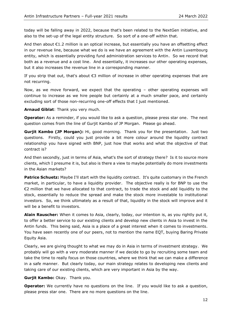today will be falling away in 2022, because that's been related to the NextGen initiative, and also to the set-up of the legal entity structure. So sort of a one-off within that.

And then about €1.2 million is an optical increase, but essentially you have an offsetting effect in our revenue line, because what we do is we have an agreement with the Antin Luxembourg entity, which is essentially providing fund administration services to Antin. So we record that both as a revenue and a cost line. And essentially, it increases our other operating expenses, but it also increases the revenue line in a corresponding manner.

If you strip that out, that's about  $\epsilon$ 3 million of increase in other operating expenses that are not recurring.

Now, as we move forward, we expect that the operating – other operating expenses will continue to increase as we hire people but certainly at a much smaller pace, and certainly excluding sort of those non-recurring one-off effects that I just mentioned.

**Arnaud Giblat**: Thank you very much.

**Operator:** As a reminder, if you would like to ask a question, please press star one. The next question comes from the line of Gurjit Kambo of JP Morgan. Please go ahead.

**Gurjit Kambo (JP Morgan):** Hi, good morning. Thank you for the presentation. Just two questions. Firstly, could you just provide a bit more colour around the liquidity contract relationship you have signed with BNP, just how that works and what the objective of that contract is?

And then secondly, just in terms of Asia, what's the sort of strategy there? Is it to source more clients, which I presume it is, but also is there a view to maybe potentially do more investments in the Asian markets?

**Patrice Schuetz:** Maybe I'll start with the liquidity contract. It's quite customary in the French market, in particular, to have a liquidity provider. The objective really is for BNP to use the €2 million that we have allocated to that contract, to trade the stock and add liquidity to the stock, essentially to reduce the spread and make the stock more investable to institutional investors. So, we think ultimately as a result of that, liquidity in the stock will improve and it will be a benefit to investors.

**Alain Rauscher:** When it comes to Asia, clearly, today, our intention is, as you rightly put it, to offer a better service to our existing clients and develop new clients in Asia to invest in the Antin funds. This being said, Asia is a place of a great interest when it comes to investments. You have seen recently one of our peers, not to mention the name EQT, buying Baring Private Equity Asia.

Clearly, we are giving thought to what we may do in Asia in terms of investment strategy. We probably will go with a very moderate manner if we decide to go by recruiting some team and take the time to really focus on those countries, where we think that we can make a difference in a safe manner. But clearly today, our main strategy relates to developing new clients and taking care of our existing clients, which are very important in Asia by the way.

**Gurjit Kambo:** Okay. Thank you.

**Operator:** We currently have no questions on the line. If you would like to ask a question, please press star one. There are no more questions on the line.